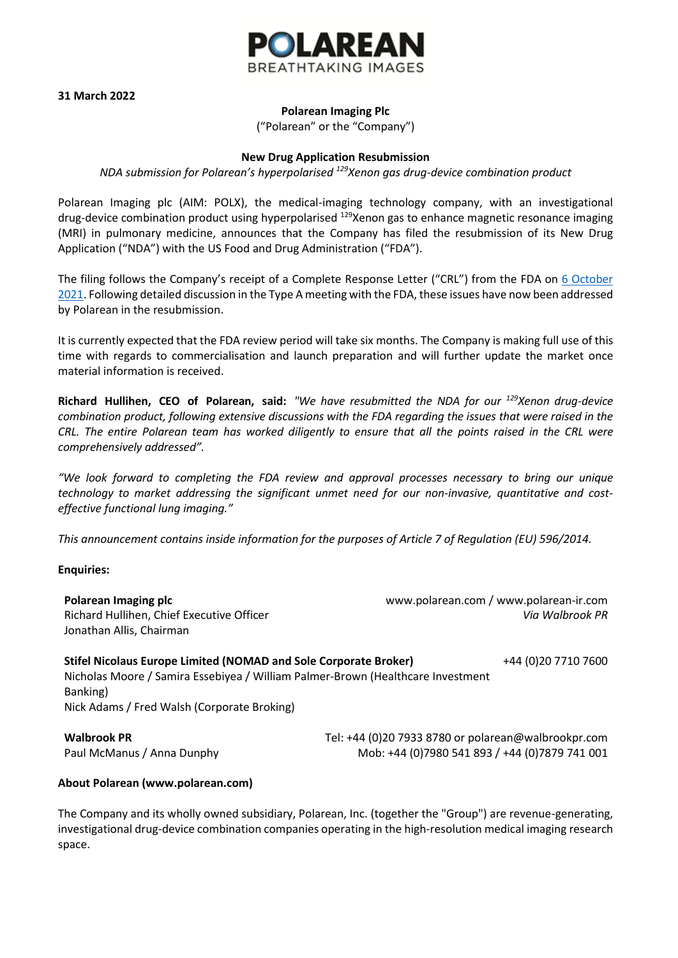

**31 March 2022**

## **Polarean Imaging Plc**

("Polarean" or the "Company")

## **New Drug Application Resubmission**

*NDA submission for Polarean's hyperpolarised <sup>129</sup>Xenon gas drug-device combination product*

Polarean Imaging plc (AIM: POLX), the medical-imaging technology company, with an investigational drug-device combination product using hyperpolarised <sup>129</sup>Xenon gas to enhance magnetic resonance imaging (MRI) in pulmonary medicine, announces that the Company has filed the resubmission of its New Drug Application ("NDA") with the US Food and Drug Administration ("FDA").

The filing follows the Company's receipt of a Complete Response Letter ("CRL") from the FDA on 6 October [2021.](https://www.polarean-ir.com/content/news/corporate-news/061021) Following detailed discussion in the Type A meeting with the FDA, these issues have now been addressed by Polarean in the resubmission.

It is currently expected that the FDA review period will take six months. The Company is making full use of this time with regards to commercialisation and launch preparation and will further update the market once material information is received.

**Richard Hullihen, CEO of Polarean, said:** *"We have resubmitted the NDA for our <sup>129</sup>Xenon drug-device combination product, following extensive discussions with the FDA regarding the issues that were raised in the CRL. The entire Polarean team has worked diligently to ensure that all the points raised in the CRL were comprehensively addressed".*

*"We look forward to completing the FDA review and approval processes necessary to bring our unique technology to market addressing the significant unmet need for our non-invasive, quantitative and costeffective functional lung imaging."*

*This announcement contains inside information for the purposes of Article 7 of Regulation (EU) 596/2014.*

## **Enquiries:**

| Polarean Imaging plc<br>Richard Hullihen, Chief Executive Officer<br>Jonathan Allis, Chairman | www.polarean.com / www.polarean-ir.com<br>Via Walbrook PR |
|-----------------------------------------------------------------------------------------------|-----------------------------------------------------------|
| Stifel Nicolaus Europe Limited (NOMAD and Sole Corporate Broker)                              | +44 (0)20 7710 7600                                       |

Nicholas Moore / Samira Essebiyea / William Palmer-Brown (Healthcare Investment Banking) Nick Adams / Fred Walsh (Corporate Broking)

**Walbrook PR** Tel: +44 (0)20 7933 8780 or polarean@walbrookpr.com Paul McManus / Anna Dunphy Mob: +44 (0)7980 541 893 / +44 (0)7879 741 001

## **About Polarean (www.polarean.com)**

The Company and its wholly owned subsidiary, Polarean, Inc. (together the "Group") are revenue-generating, investigational drug-device combination companies operating in the high-resolution medical imaging research space.